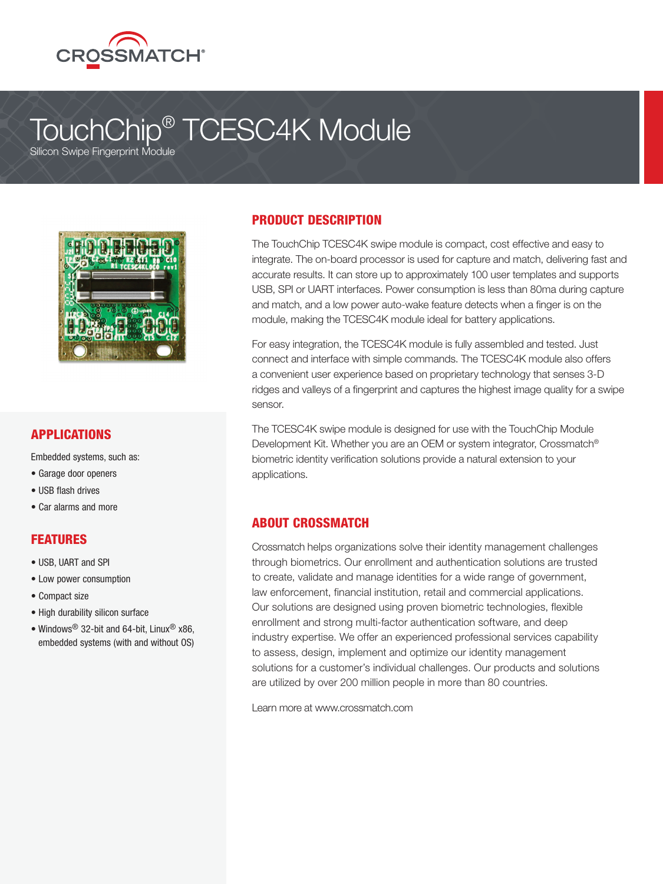

# TouchChip® TCESC4K Module

Silicon Swipe Fingerprint Module



#### APPLICATIONS

Embedded systems, such as:

- Garage door openers
- USB flash drives
- Car alarms and more

#### **FFATURES**

- USB, UART and SPI
- Low power consumption
- Compact size
- High durability silicon surface
- Windows<sup>®</sup> 32-bit and 64-bit, Linux<sup>®</sup> x86, embedded systems (with and without OS)

### PRODUCT DESCRIPTION

The TouchChip TCESC4K swipe module is compact, cost effective and easy to integrate. The on-board processor is used for capture and match, delivering fast and accurate results. It can store up to approximately 100 user templates and supports USB, SPI or UART interfaces. Power consumption is less than 80ma during capture and match, and a low power auto-wake feature detects when a finger is on the module, making the TCESC4K module ideal for battery applications.

For easy integration, the TCESC4K module is fully assembled and tested. Just connect and interface with simple commands. The TCESC4K module also offers a convenient user experience based on proprietary technology that senses 3-D ridges and valleys of a fingerprint and captures the highest image quality for a swipe sensor.

The TCESC4K swipe module is designed for use with the TouchChip Module Development Kit. Whether you are an OEM or system integrator, Crossmatch® biometric identity verification solutions provide a natural extension to your applications.

#### ABOUT CROSSMATCH

Crossmatch helps organizations solve their identity management challenges through biometrics. Our enrollment and authentication solutions are trusted to create, validate and manage identities for a wide range of government, law enforcement, financial institution, retail and commercial applications. Our solutions are designed using proven biometric technologies, flexible enrollment and strong multi-factor authentication software, and deep industry expertise. We offer an experienced professional services capability to assess, design, implement and optimize our identity management solutions for a customer's individual challenges. Our products and solutions are utilized by over 200 million people in more than 80 countries.

Learn more at www.crossmatch.com